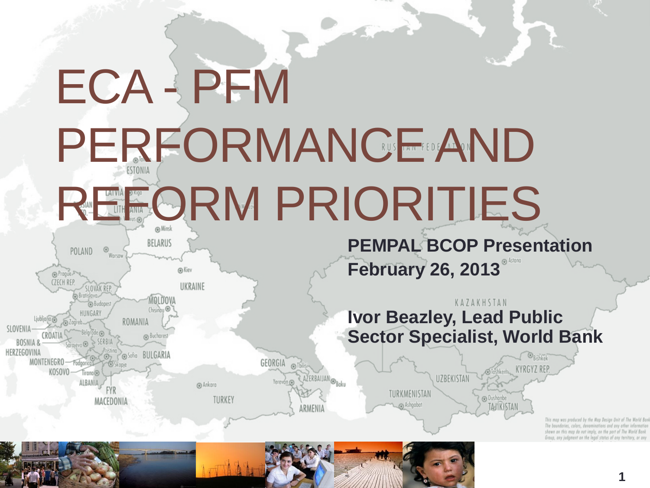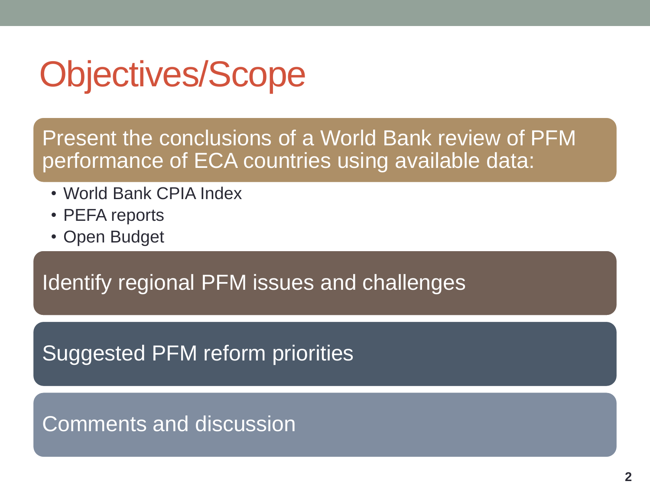# Objectives/Scope

Present the conclusions of a World Bank review of PFM performance of ECA countries using available data:

- World Bank CPIA Index
- PEFA reports
- Open Budget

Identify regional PFM issues and challenges

Suggested PFM reform priorities

Comments and discussion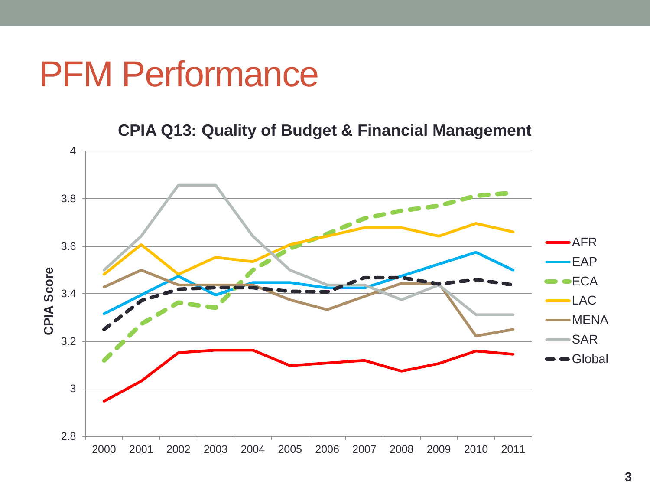#### PFM Performance

**CPIA Q13: Quality of Budget & Financial Management**

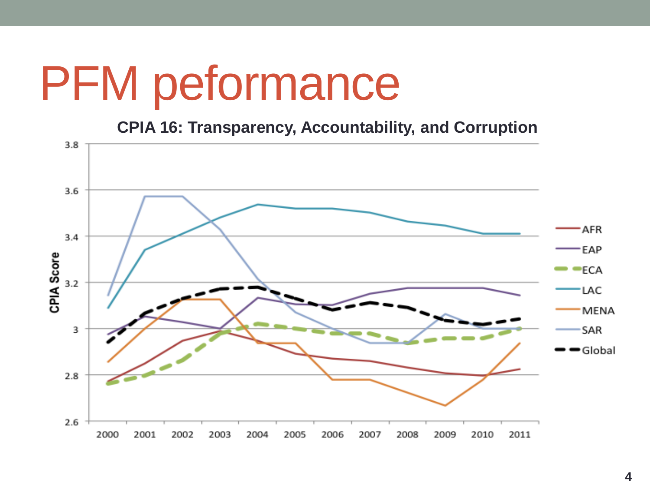# PFM peformance

**CPIA 16: Transparency, Accountability, and Corruption** 

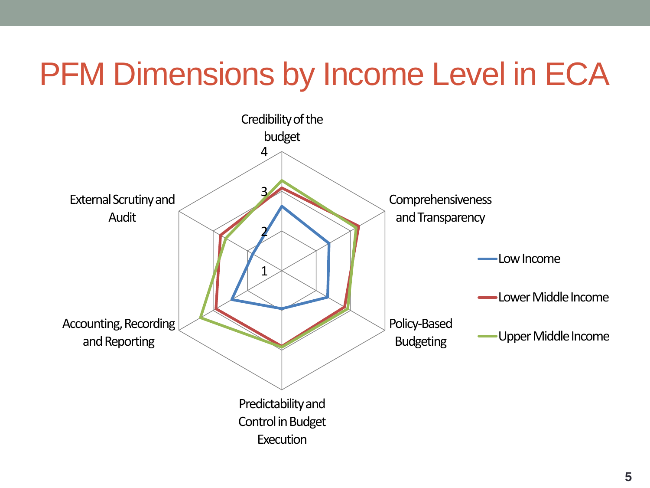### PFM Dimensions by Income Level in ECA

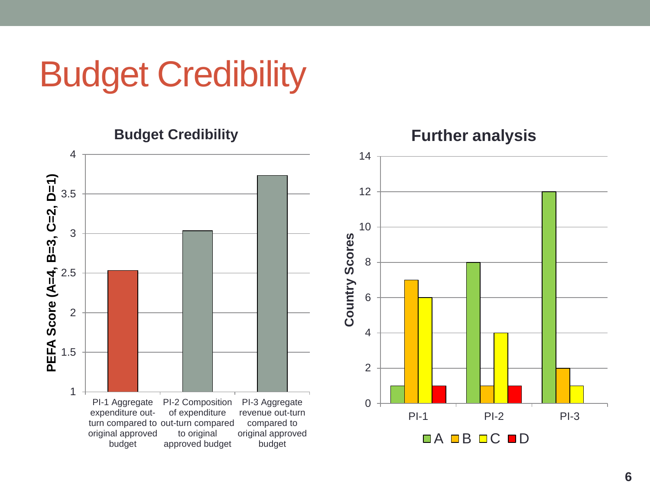# Budget Credibility





**Further analysis**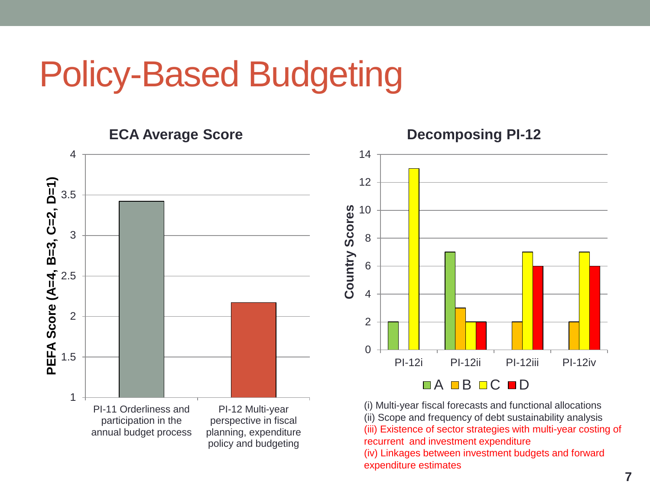# Policy-Based Budgeting





(i) Multi-year fiscal forecasts and functional allocations (ii) Scope and frequency of debt sustainability analysis (iii) Existence of sector strategies with multi-year costing of recurrent and investment expenditure (iv) Linkages between investment budgets and forward expenditure estimates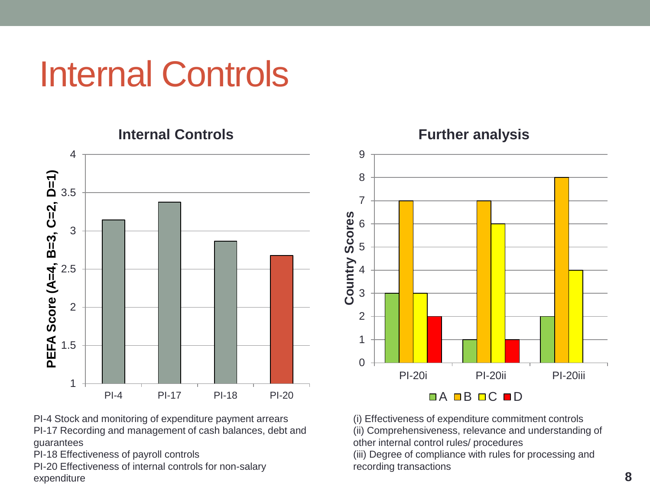# Internal Controls



9 8 7 Country Scores **Country Scores** 6 5 4 3 2 1  $\Omega$ PI-20i PI-20ii PI-20iii **DA BB DC BD** 

**Further analysis**

(i) Effectiveness of expenditure commitment controls (ii) Comprehensiveness, relevance and understanding of other internal control rules/ procedures

(iii) Degree of compliance with rules for processing and recording transactions

PI-4 Stock and monitoring of expenditure payment arrears PI-17 Recording and management of cash balances, debt and guarantees

PI-18 Effectiveness of payroll controls

PI-20 Effectiveness of internal controls for non-salary expenditure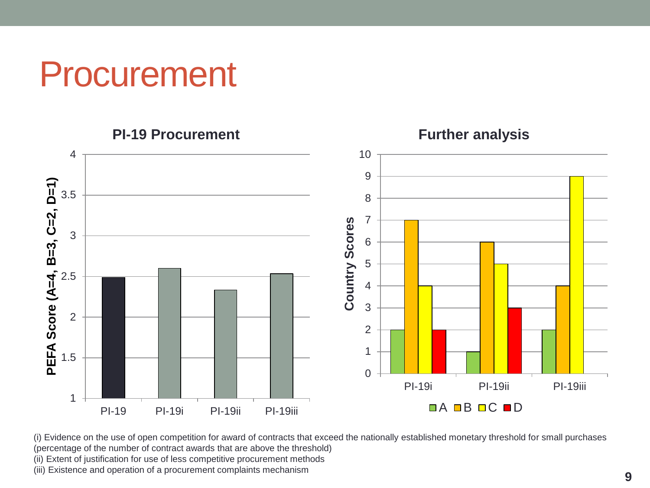Procurement



(i) Evidence on the use of open competition for award of contracts that exceed the nationally established monetary threshold for small purchases (percentage of the number of contract awards that are above the threshold)

(ii) Extent of justification for use of less competitive procurement methods

(iii) Existence and operation of a procurement complaints mechanism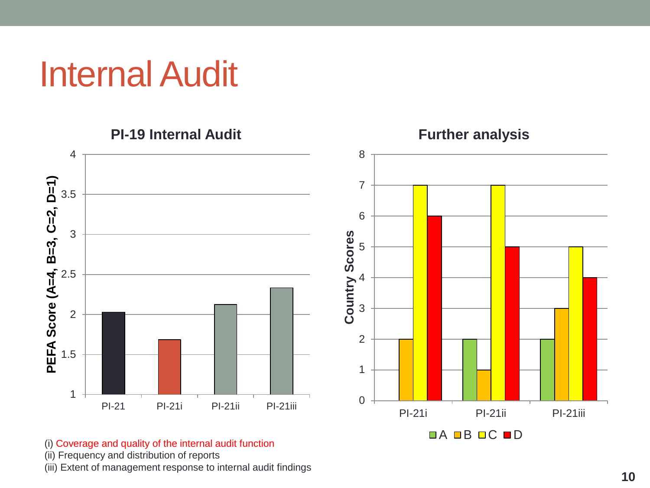# Internal Audit



(i) Coverage and quality of the internal audit function

(ii) Frequency and distribution of reports

(iii) Extent of management response to internal audit findings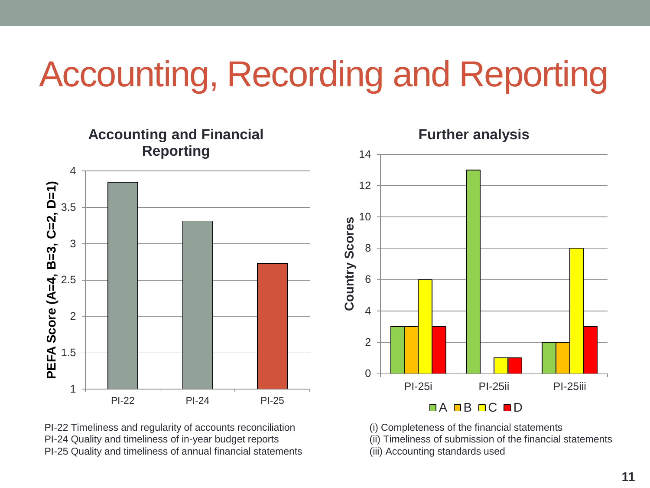# Accounting, Recording and Reporting



PI-22 Timeliness and regularity of accounts reconciliation PI-24 Quality and timeliness of in-year budget reports PI-25 Quality and timeliness of annual financial statements (i) Completeness of the financial statements (ii) Timeliness of submission of the financial statements (iii) Accounting standards used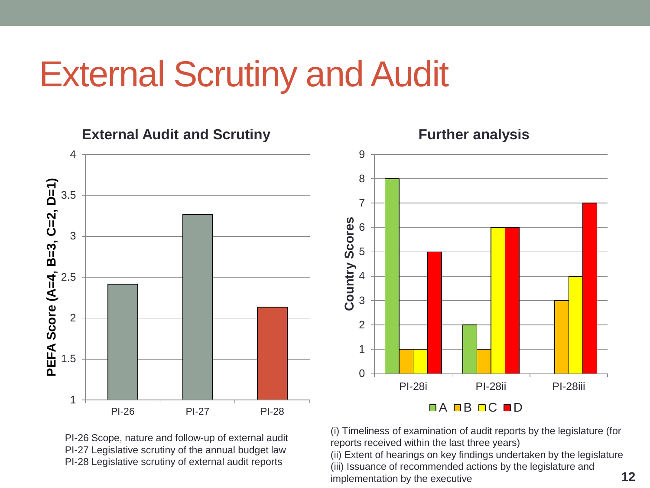### External Scrutiny and Audit



PI-26 Scope, nature and follow-up of external audit PI-27 Legislative scrutiny of the annual budget law PI-28 Legislative scrutiny of external audit reports

(i) Timeliness of examination of audit reports by the legislature (for reports received within the last three years)

(ii) Extent of hearings on key findings undertaken by the legislature (iii) Issuance of recommended actions by the legislature and implementation by the executive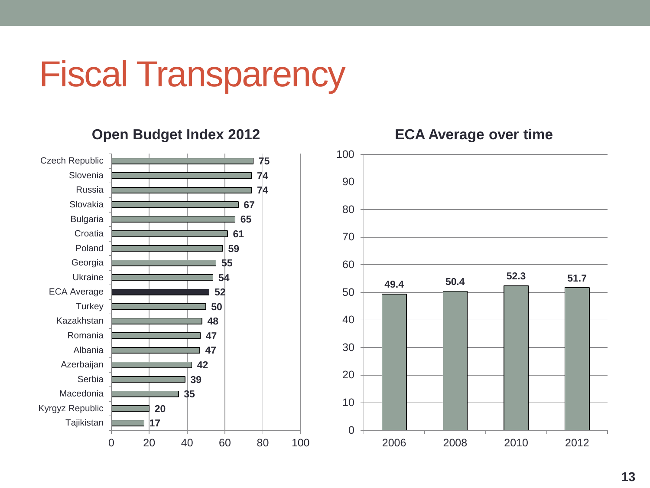# Fiscal Transparency

#### **Open Budget Index 2012**





#### **ECA Average over time**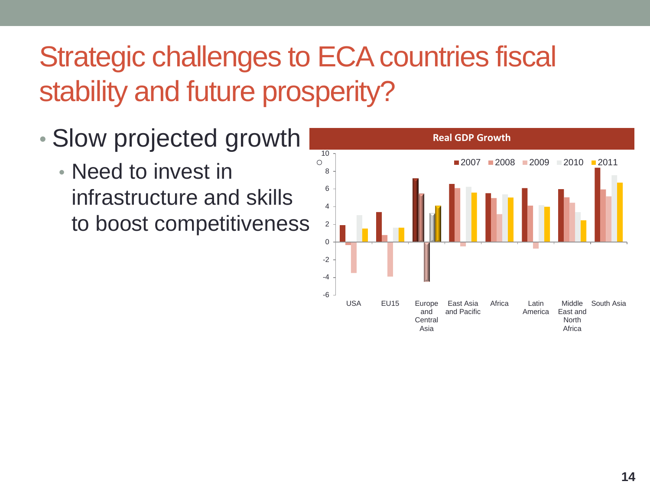#### Strategic challenges to ECA countries fiscal stability and future prosperity?

- Slow projected growth
	- Need to invest in infrastructure and skills to boost competitiveness

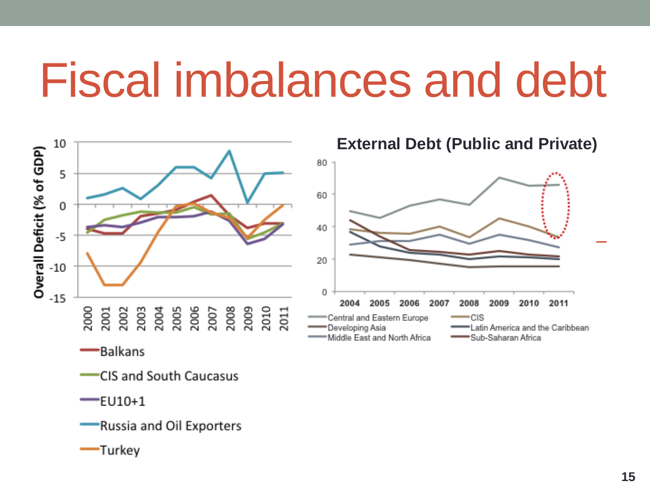# Fiscal imbalances and debt



- **CIS and South Caucasus**
- $-$ EU10+1
	- Russia and Oil Exporters
- -Turkey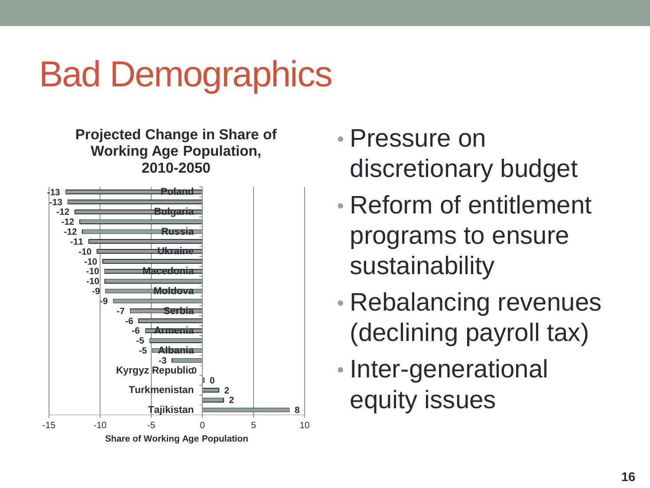# Bad Demographics

**Projected Change in Share of Working Age Population, 2010-2050**



- Pressure on discretionary budget
- Reform of entitlement programs to ensure sustainability
- Rebalancing revenues (declining payroll tax)
- Inter-generational equity issues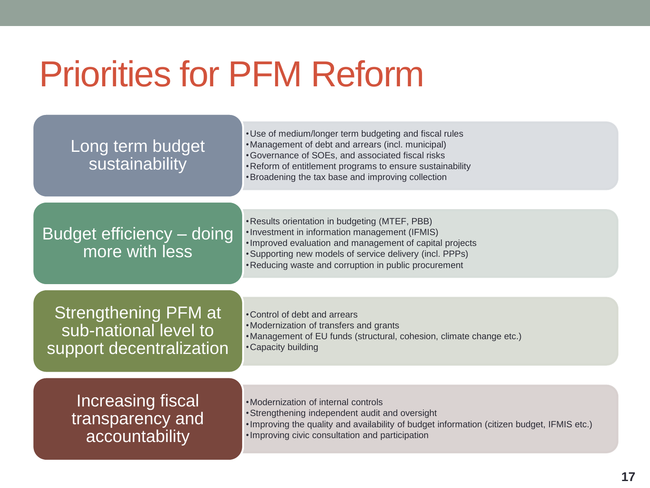# Priorities for PFM Reform

and the control of the control of the control of the control of the control of

| Long term budget<br>sustainability                                               | . Use of medium/longer term budgeting and fiscal rules<br>• Management of debt and arrears (incl. municipal)<br>• Governance of SOEs, and associated fiscal risks<br>. Reform of entitlement programs to ensure sustainability<br>• Broadening the tax base and improving collection |
|----------------------------------------------------------------------------------|--------------------------------------------------------------------------------------------------------------------------------------------------------------------------------------------------------------------------------------------------------------------------------------|
| Budget efficiency - doing<br>more with less                                      | • Results orientation in budgeting (MTEF, PBB)<br>. Investment in information management (IFMIS)<br>. Improved evaluation and management of capital projects<br>• Supporting new models of service delivery (incl. PPPs)<br>• Reducing waste and corruption in public procurement    |
| <b>Strengthening PFM at</b><br>sub-national level to<br>support decentralization | • Control of debt and arrears<br>•Modernization of transfers and grants<br>• Management of EU funds (structural, cohesion, climate change etc.)<br>• Capacity building                                                                                                               |
| <b>Increasing fiscal</b><br>transparency and<br>accountability                   | • Modernization of internal controls<br>• Strengthening independent audit and oversight<br>. Improving the quality and availability of budget information (citizen budget, IFMIS etc.)<br>. Improving civic consultation and participation                                           |